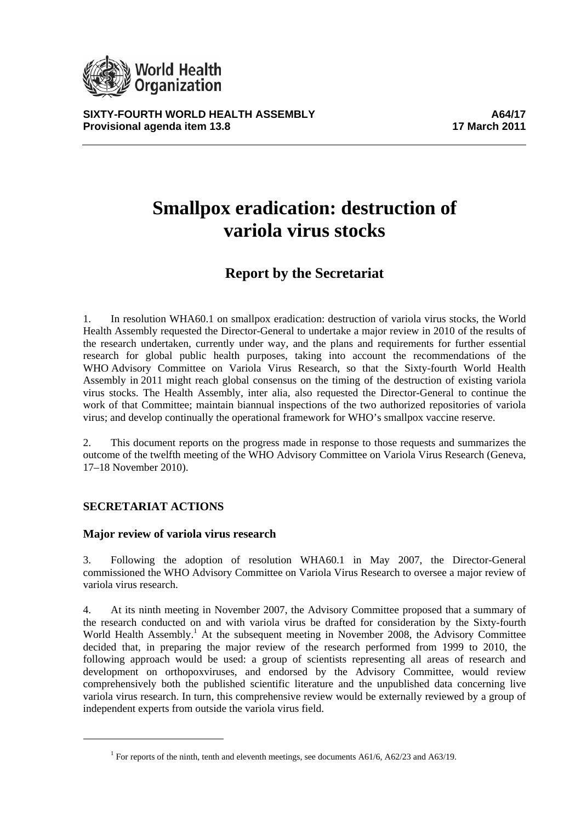

**SIXTY-FOURTH WORLD HEALTH ASSEMBLY A64/17 Provisional agenda item 13.8** 17 March 2011

# **Smallpox eradication: destruction of variola virus stocks**

# **Report by the Secretariat**

1. In resolution WHA60.1 on smallpox eradication: destruction of variola virus stocks, the World Health Assembly requested the Director-General to undertake a major review in 2010 of the results of the research undertaken, currently under way, and the plans and requirements for further essential research for global public health purposes, taking into account the recommendations of the WHO Advisory Committee on Variola Virus Research, so that the Sixty-fourth World Health Assembly in 2011 might reach global consensus on the timing of the destruction of existing variola virus stocks. The Health Assembly, inter alia, also requested the Director-General to continue the work of that Committee; maintain biannual inspections of the two authorized repositories of variola virus; and develop continually the operational framework for WHO's smallpox vaccine reserve.

2. This document reports on the progress made in response to those requests and summarizes the outcome of the twelfth meeting of the WHO Advisory Committee on Variola Virus Research (Geneva, 17–18 November 2010).

## **SECRETARIAT ACTIONS**

#### **Major review of variola virus research**

3. Following the adoption of resolution WHA60.1 in May 2007, the Director-General commissioned the WHO Advisory Committee on Variola Virus Research to oversee a major review of variola virus research.

4. At its ninth meeting in November 2007, the Advisory Committee proposed that a summary of the research conducted on and with variola virus be drafted for consideration by the Sixty-fourth World Health Assembly.<sup>1</sup> At the subsequent meeting in November 2008, the Advisory Committee decided that, in preparing the major review of the research performed from 1999 to 2010, the following approach would be used: a group of scientists representing all areas of research and development on orthopoxviruses, and endorsed by the Advisory Committee, would review comprehensively both the published scientific literature and the unpublished data concerning live variola virus research. In turn, this comprehensive review would be externally reviewed by a group of independent experts from outside the variola virus field.

<sup>&</sup>lt;sup>1</sup> For reports of the ninth, tenth and eleventh meetings, see documents A61/6, A62/23 and A63/19.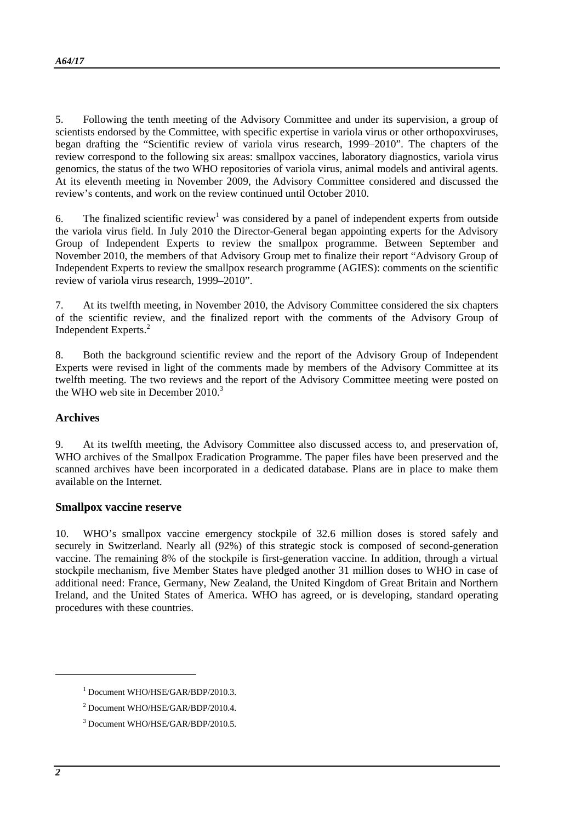5. Following the tenth meeting of the Advisory Committee and under its supervision, a group of scientists endorsed by the Committee, with specific expertise in variola virus or other orthopoxviruses, began drafting the "Scientific review of variola virus research, 1999–2010". The chapters of the review correspond to the following six areas: smallpox vaccines, laboratory diagnostics, variola virus genomics, the status of the two WHO repositories of variola virus, animal models and antiviral agents. At its eleventh meeting in November 2009, the Advisory Committee considered and discussed the review's contents, and work on the review continued until October 2010.

6. The finalized scientific review<sup>1</sup> was considered by a panel of independent experts from outside the variola virus field. In July 2010 the Director-General began appointing experts for the Advisory Group of Independent Experts to review the smallpox programme. Between September and November 2010, the members of that Advisory Group met to finalize their report "Advisory Group of Independent Experts to review the smallpox research programme (AGIES): comments on the scientific review of variola virus research, 1999–2010".

7. At its twelfth meeting, in November 2010, the Advisory Committee considered the six chapters of the scientific review, and the finalized report with the comments of the Advisory Group of Independent Experts.<sup>2</sup>

8. Both the background scientific review and the report of the Advisory Group of Independent Experts were revised in light of the comments made by members of the Advisory Committee at its twelfth meeting. The two reviews and the report of the Advisory Committee meeting were posted on the WHO web site in December  $2010<sup>3</sup>$ 

#### **Archives**

9. At its twelfth meeting, the Advisory Committee also discussed access to, and preservation of, WHO archives of the Smallpox Eradication Programme. The paper files have been preserved and the scanned archives have been incorporated in a dedicated database. Plans are in place to make them available on the Internet.

#### **Smallpox vaccine reserve**

10. WHO's smallpox vaccine emergency stockpile of 32.6 million doses is stored safely and securely in Switzerland. Nearly all (92%) of this strategic stock is composed of second-generation vaccine. The remaining 8% of the stockpile is first-generation vaccine. In addition, through a virtual stockpile mechanism, five Member States have pledged another 31 million doses to WHO in case of additional need: France, Germany, New Zealand, the United Kingdom of Great Britain and Northern Ireland, and the United States of America. WHO has agreed, or is developing, standard operating procedures with these countries.

l

<sup>1</sup> Document WHO/HSE/GAR/BDP/2010.3.

<sup>2</sup> Document WHO/HSE/GAR/BDP/2010.4.

<sup>3</sup> Document WHO/HSE/GAR/BDP/2010.5.